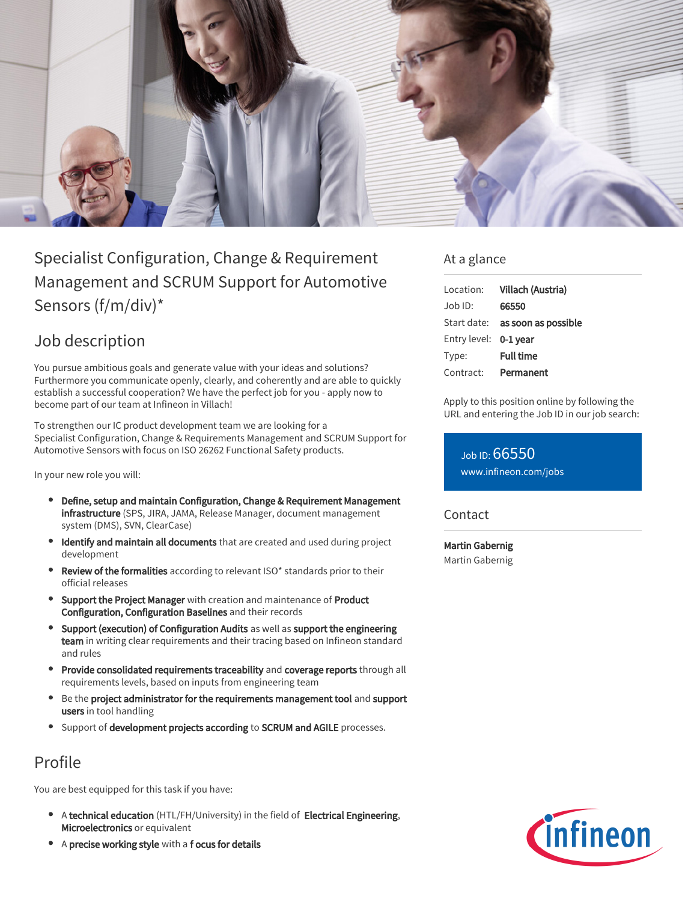

# Specialist Configuration, Change & Requirement Management and SCRUM Support for Automotive Sensors (f/m/div)\*

## Job description

You pursue ambitious goals and generate value with your ideas and solutions? Furthermore you communicate openly, clearly, and coherently and are able to quickly establish a successful cooperation? We have the perfect job for you - apply now to become part of our team at Infineon in Villach!

To strengthen our IC product development team we are looking for a Specialist Configuration, Change & Requirements Management and SCRUM Support for Automotive Sensors with focus on ISO 26262 Functional Safety products.

In your new role you will:

- Define, setup and maintain Configuration, Change & Requirement Management infrastructure (SPS, JIRA, JAMA, Release Manager, document management system (DMS), SVN, ClearCase)
- Identify and maintain all documents that are created and used during project development
- Review of the formalities according to relevant ISO\* standards prior to their official releases
- **Support the Project Manager** with creation and maintenance of Product Configuration, Configuration Baselines and their records
- Support (execution) of Configuration Audits as well as support the engineering team in writing clear requirements and their tracing based on Infineon standard and rules
- Provide consolidated requirements traceability and coverage reports through all requirements levels, based on inputs from engineering team
- Be the project administrator for the requirements management tool and support users in tool handling
- **Support of development projects according to SCRUM and AGILE processes.**

## Profile

You are best equipped for this task if you have:

- A technical education (HTL/FH/University) in the field of Electrical Engineering, Microelectronics or equivalent
- A precise working style with a f ocus for details

### At a glance

| Location:             | Villach (Austria)                      |
|-----------------------|----------------------------------------|
| .lob ID:              | 66550                                  |
|                       | Start date: <b>as soon as possible</b> |
| Entry level: 0-1 year |                                        |
| Type:                 | <b>Full time</b>                       |
| Contract:             | Permanent                              |

Apply to this position online by following the URL and entering the Job ID in our job search:

Job ID: 66550 [www.infineon.com/jobs](https://www.infineon.com/jobs)

**Contact** 

Martin Gabernig Martin Gabernig

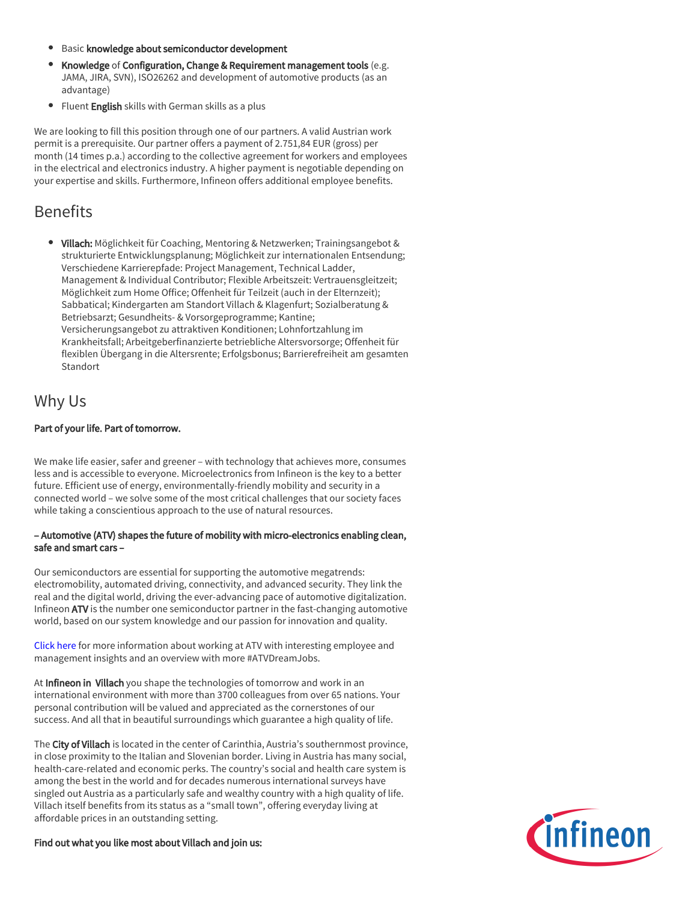- **•** Basic knowledge about semiconductor development
- Knowledge of Configuration, Change & Requirement management tools (e.g. JAMA, JIRA, SVN), ISO26262 and development of automotive products (as an advantage)
- **•** Fluent English skills with German skills as a plus

We are looking to fill this position through one of our partners. A valid Austrian work permit is a prerequisite. Our partner offers a payment of 2.751,84 EUR (gross) per month (14 times p.a.) according to the collective agreement for workers and employees in the electrical and electronics industry. A higher payment is negotiable depending on your expertise and skills. Furthermore, Infineon offers additional employee benefits.

## Benefits

• Villach: Möglichkeit für Coaching, Mentoring & Netzwerken; Trainingsangebot & strukturierte Entwicklungsplanung; Möglichkeit zur internationalen Entsendung; Verschiedene Karrierepfade: Project Management, Technical Ladder, Management & Individual Contributor; Flexible Arbeitszeit: Vertrauensgleitzeit; Möglichkeit zum Home Office; Offenheit für Teilzeit (auch in der Elternzeit); Sabbatical; Kindergarten am Standort Villach & Klagenfurt; Sozialberatung & Betriebsarzt; Gesundheits- & Vorsorgeprogramme; Kantine; Versicherungsangebot zu attraktiven Konditionen; Lohnfortzahlung im Krankheitsfall; Arbeitgeberfinanzierte betriebliche Altersvorsorge; Offenheit für flexiblen Übergang in die Altersrente; Erfolgsbonus; Barrierefreiheit am gesamten **Standort** 

### Why Us

### Part of your life. Part of tomorrow.

We make life easier, safer and greener – with technology that achieves more, consumes less and is accessible to everyone. Microelectronics from Infineon is the key to a better future. Efficient use of energy, environmentally-friendly mobility and security in a connected world – we solve some of the most critical challenges that our society faces while taking a conscientious approach to the use of natural resources.

#### – Automotive (ATV) shapes the future of mobility with micro-electronics enabling clean, safe and smart cars –

Our semiconductors are essential for supporting the automotive megatrends: electromobility, automated driving, connectivity, and advanced security. They link the real and the digital world, driving the ever-advancing pace of automotive digitalization. Infineon ATV is the number one semiconductor partner in the fast-changing automotive world, based on our system knowledge and our passion for innovation and quality.

[Click here](https://www.infineon.com/cms/en/careers/working-at-infineon/atvdreamjob/) for more information about working at ATV with interesting employee and management insights and an overview with more #ATVDreamJobs.

At Infineon in Villach you shape the technologies of tomorrow and work in an international environment with more than 3700 colleagues from over 65 nations. Your personal contribution will be valued and appreciated as the cornerstones of our success. And all that in beautiful surroundings which guarantee a high quality of life.

The City of Villach is located in the center of Carinthia, Austria's southernmost province, in close proximity to the Italian and Slovenian border. Living in Austria has many social, health-care-related and economic perks. The country's social and health care system is among the best in the world and for decades numerous international surveys have singled out Austria as a particularly safe and wealthy country with a high quality of life. Villach itself benefits from its status as a "small town", offering everyday living at affordable prices in an outstanding setting.

Find out what you like most about Villach and join us: